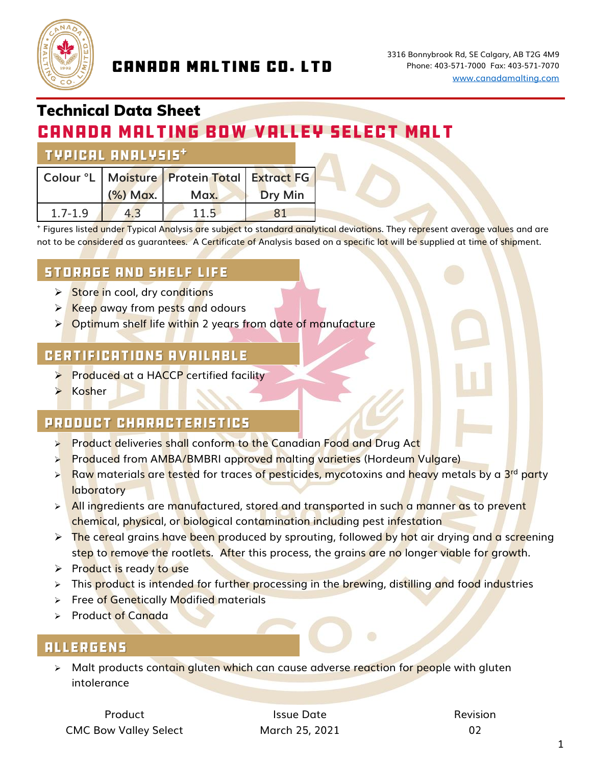

## Technical Data Sheet

# CANADA MALTING BOW VALLEY SELECT MALT

#### **TYPICAL ANALYSIS\***

| Colour °L   |          | Moisture Protein Total Extract FG |                |  |
|-------------|----------|-----------------------------------|----------------|--|
|             | (%) Max. | Max.                              | <b>Dry Min</b> |  |
| $1.7 - 1.9$ | 4.3      | 11.5                              |                |  |

+ Figures liste<mark>d u</mark>nder Typical Analysis are subject to standard analytical deviations. They represent average values and are not to be considered as guarantees.A Certificate of Analysis based on a specific lot will be supplied at time of shipment.

### **STORAGE AND SHELF LIFE**

- **► Store in cool, dry conditions**
- ➢ Keep away from pests and odours
- ➢ Optimum shelf life within 2 years from date of manufacture

#### **CERTIFICATIONS AVAILABLE**

- ➢ Produced at a HACCP certified facility
- ➢ Kosher

#### **PRODUCT CHARACTERISTICS**

- ➢ Product deliveries shall conform to the Canadian Food and Drug Act
- ➢ Produced from AMBA/BMBRI approved malting varieties (Hordeum Vulgare)
- ➢ Raw materials are tested for traces of pesticides, mycotoxins and heavy metals by a 3rd party **laboratory**
- $\triangleright$  All ingredients are manufactured, stored and transported in such a manner as to prevent chemical, physical, or biological contamination including pest infestation
- $\triangleright$  The cereal grains have been produced by sprouting, followed by hot air drying and a screening step to remove the rootlets. After this process, the grains are no longer viable for growth.
- ➢ Product is ready to use
- > This product is intended for further processing in the brewing, distilling and food industries
- ➢ Free of Genetically Modified materials
- ➢ Product of Canada

#### **ALLERGENS**

➢ Malt products contain gluten which can cause adverse reaction for people with gluten intolerance

Product **Issue Date Issue Date Issue Date Revision**